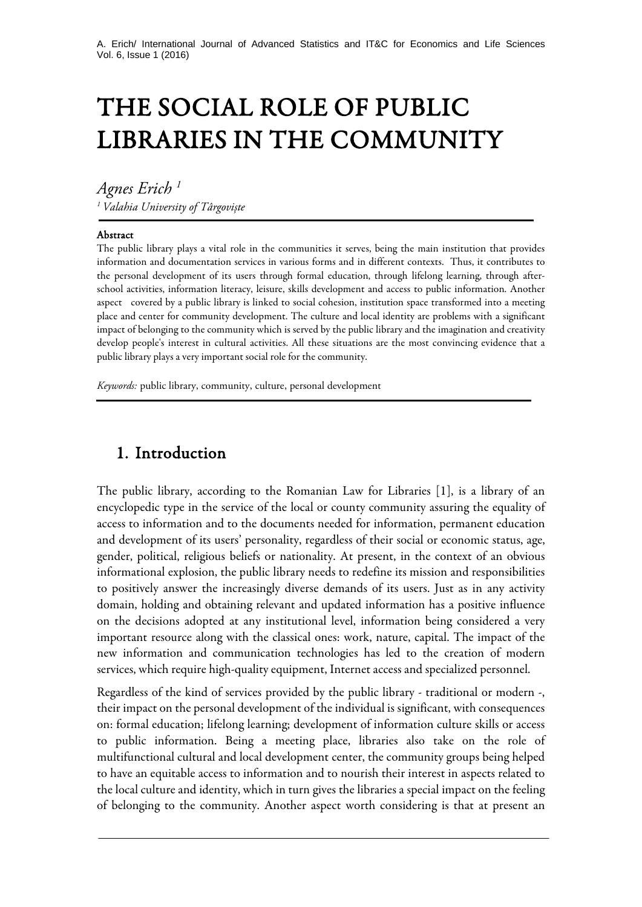# THE SOCIAL ROLE OF PUBLIC LIBRARIES IN THE COMMUNITY

*Agnes Erich <sup>1</sup> <sup>1</sup> Valahia University of Târgoviște*

#### Abstract

j

j

The public library plays a vital role in the communities it serves, being the main institution that provides information and documentation services in various forms and in different contexts. Thus, it contributes to the personal development of its users through formal education, through lifelong learning, through afterschool activities, information literacy, leisure, skills development and access to public information. Another aspect covered by a public library is linked to social cohesion, institution space transformed into a meeting place and center for community development. The culture and local identity are problems with a significant impact of belonging to the community which is served by the public library and the imagination and creativity develop people's interest in cultural activities. All these situations are the most convincing evidence that a public library plays a very important social role for the community.

*Keywords:* public library, community, culture, personal development

#### 1. Introduction

The public library, according to the Romanian Law for Libraries [1], is a library of an encyclopedic type in the service of the local or county community assuring the equality of access to information and to the documents needed for information, permanent education and development of its users' personality, regardless of their social or economic status, age, gender, political, religious beliefs or nationality. At present, in the context of an obvious informational explosion, the public library needs to redefine its mission and responsibilities to positively answer the increasingly diverse demands of its users. Just as in any activity domain, holding and obtaining relevant and updated information has a positive influence on the decisions adopted at any institutional level, information being considered a very important resource along with the classical ones: work, nature, capital. The impact of the new information and communication technologies has led to the creation of modern services, which require high-quality equipment, Internet access and specialized personnel.

Regardless of the kind of services provided by the public library - traditional or modern -, their impact on the personal development of the individual is significant, with consequences on: formal education; lifelong learning; development of information culture skills or access to public information. Being a meeting place, libraries also take on the role of multifunctional cultural and local development center, the community groups being helped to have an equitable access to information and to nourish their interest in aspects related to the local culture and identity, which in turn gives the libraries a special impact on the feeling of belonging to the community. Another aspect worth considering is that at present an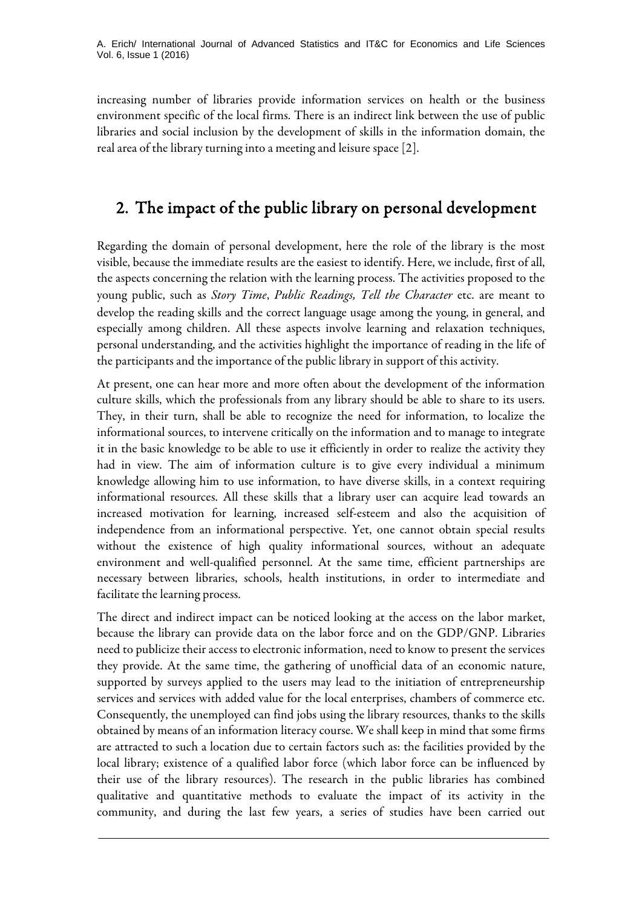increasing number of libraries provide information services on health or the business environment specific of the local firms. There is an indirect link between the use of public libraries and social inclusion by the development of skills in the information domain, the real area of the library turning into a meeting and leisure space [2].

### 2. The impact of the public library on personal development

Regarding the domain of personal development, here the role of the library is the most visible, because the immediate results are the easiest to identify. Here, we include, first of all, the aspects concerning the relation with the learning process. The activities proposed to the young public, such as *Story Time*, *Public Readings, Tell the Character* etc. are meant to develop the reading skills and the correct language usage among the young, in general, and especially among children. All these aspects involve learning and relaxation techniques, personal understanding, and the activities highlight the importance of reading in the life of the participants and the importance of the public library in support of this activity.

At present, one can hear more and more often about the development of the information culture skills, which the professionals from any library should be able to share to its users. They, in their turn, shall be able to recognize the need for information, to localize the informational sources, to intervene critically on the information and to manage to integrate it in the basic knowledge to be able to use it efficiently in order to realize the activity they had in view. The aim of information culture is to give every individual a minimum knowledge allowing him to use information, to have diverse skills, in a context requiring informational resources. All these skills that a library user can acquire lead towards an increased motivation for learning, increased self-esteem and also the acquisition of independence from an informational perspective. Yet, one cannot obtain special results without the existence of high quality informational sources, without an adequate environment and well-qualified personnel. At the same time, efficient partnerships are necessary between libraries, schools, health institutions, in order to intermediate and facilitate the learning process.

The direct and indirect impact can be noticed looking at the access on the labor market, because the library can provide data on the labor force and on the GDP/GNP. Libraries need to publicize their access to electronic information, need to know to present the services they provide. At the same time, the gathering of unofficial data of an economic nature, supported by surveys applied to the users may lead to the initiation of entrepreneurship services and services with added value for the local enterprises, chambers of commerce etc. Consequently, the unemployed can find jobs using the library resources, thanks to the skills obtained by means of an information literacy course. We shall keep in mind that some firms are attracted to such a location due to certain factors such as: the facilities provided by the local library; existence of a qualified labor force (which labor force can be influenced by their use of the library resources). The research in the public libraries has combined qualitative and quantitative methods to evaluate the impact of its activity in the community, and during the last few years, a series of studies have been carried out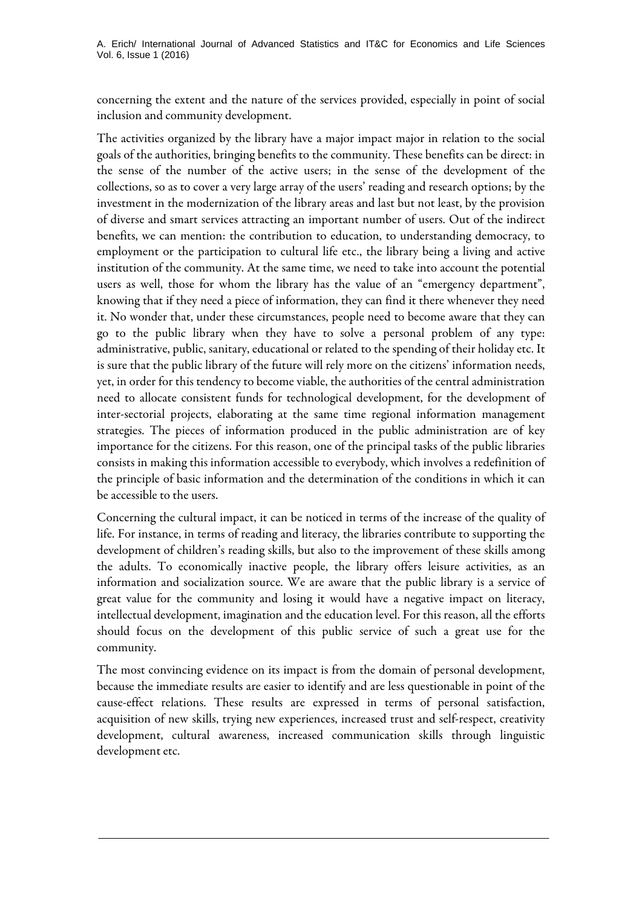A. Erich/ International Journal of Advanced Statistics and IT&C for Economics and Life Sciences Vol. 6, Issue 1 (2016)

concerning the extent and the nature of the services provided, especially in point of social inclusion and community development.

The activities organized by the library have a major impact major in relation to the social goals of the authorities, bringing benefits to the community. These benefits can be direct: in the sense of the number of the active users; in the sense of the development of the collections, so as to cover a very large array of the users' reading and research options; by the investment in the modernization of the library areas and last but not least, by the provision of diverse and smart services attracting an important number of users. Out of the indirect benefits, we can mention: the contribution to education, to understanding democracy, to employment or the participation to cultural life etc., the library being a living and active institution of the community. At the same time, we need to take into account the potential users as well, those for whom the library has the value of an "emergency department", knowing that if they need a piece of information, they can find it there whenever they need it. No wonder that, under these circumstances, people need to become aware that they can go to the public library when they have to solve a personal problem of any type: administrative, public, sanitary, educational or related to the spending of their holiday etc. It is sure that the public library of the future will rely more on the citizens' information needs, yet, in order for this tendency to become viable, the authorities of the central administration need to allocate consistent funds for technological development, for the development of inter-sectorial projects, elaborating at the same time regional information management strategies. The pieces of information produced in the public administration are of key importance for the citizens. For this reason, one of the principal tasks of the public libraries consists in making this information accessible to everybody, which involves a redefinition of the principle of basic information and the determination of the conditions in which it can be accessible to the users.

Concerning the cultural impact, it can be noticed in terms of the increase of the quality of life. For instance, in terms of reading and literacy, the libraries contribute to supporting the development of children's reading skills, but also to the improvement of these skills among the adults. To economically inactive people, the library offers leisure activities, as an information and socialization source. We are aware that the public library is a service of great value for the community and losing it would have a negative impact on literacy, intellectual development, imagination and the education level. For this reason, all the efforts should focus on the development of this public service of such a great use for the community.

The most convincing evidence on its impact is from the domain of personal development, because the immediate results are easier to identify and are less questionable in point of the cause-effect relations. These results are expressed in terms of personal satisfaction, acquisition of new skills, trying new experiences, increased trust and self-respect, creativity development, cultural awareness, increased communication skills through linguistic development etc.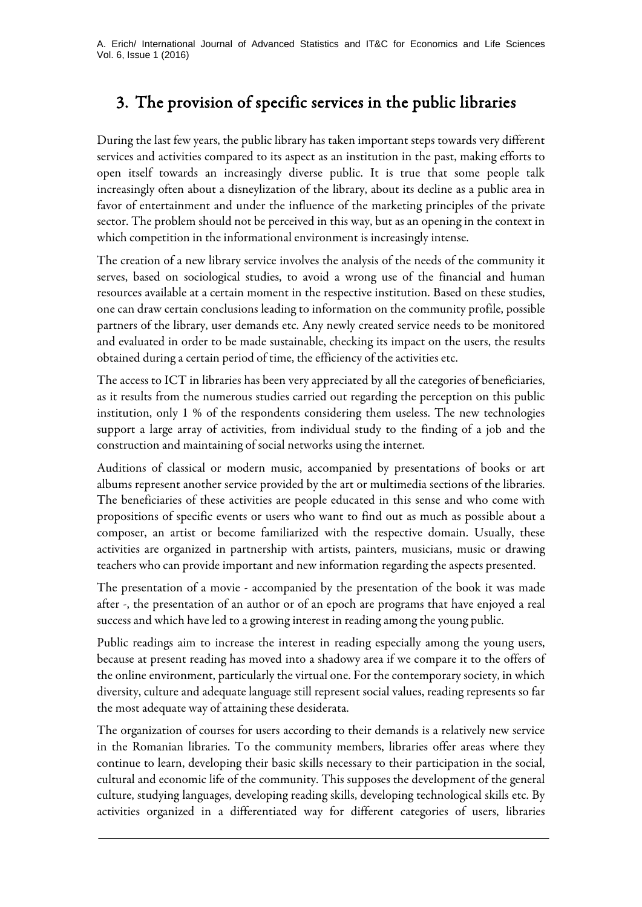# 3. The provision of specific services in the public libraries

During the last few years, the public library has taken important steps towards very different services and activities compared to its aspect as an institution in the past, making efforts to open itself towards an increasingly diverse public. It is true that some people talk increasingly often about a disneylization of the library, about its decline as a public area in favor of entertainment and under the influence of the marketing principles of the private sector. The problem should not be perceived in this way, but as an opening in the context in which competition in the informational environment is increasingly intense.

The creation of a new library service involves the analysis of the needs of the community it serves, based on sociological studies, to avoid a wrong use of the financial and human resources available at a certain moment in the respective institution. Based on these studies, one can draw certain conclusions leading to information on the community profile, possible partners of the library, user demands etc. Any newly created service needs to be monitored and evaluated in order to be made sustainable, checking its impact on the users, the results obtained during a certain period of time, the efficiency of the activities etc.

The access to ICT in libraries has been very appreciated by all the categories of beneficiaries, as it results from the numerous studies carried out regarding the perception on this public institution, only 1 % of the respondents considering them useless. The new technologies support a large array of activities, from individual study to the finding of a job and the construction and maintaining of social networks using the internet.

Auditions of classical or modern music, accompanied by presentations of books or art albums represent another service provided by the art or multimedia sections of the libraries. The beneficiaries of these activities are people educated in this sense and who come with propositions of specific events or users who want to find out as much as possible about a composer, an artist or become familiarized with the respective domain. Usually, these activities are organized in partnership with artists, painters, musicians, music or drawing teachers who can provide important and new information regarding the aspects presented.

The presentation of a movie - accompanied by the presentation of the book it was made after -, the presentation of an author or of an epoch are programs that have enjoyed a real success and which have led to a growing interest in reading among the young public.

Public readings aim to increase the interest in reading especially among the young users, because at present reading has moved into a shadowy area if we compare it to the offers of the online environment, particularly the virtual one. For the contemporary society, in which diversity, culture and adequate language still represent social values, reading represents so far the most adequate way of attaining these desiderata.

The organization of courses for users according to their demands is a relatively new service in the Romanian libraries. To the community members, libraries offer areas where they continue to learn, developing their basic skills necessary to their participation in the social, cultural and economic life of the community. This supposes the development of the general culture, studying languages, developing reading skills, developing technological skills etc. By activities organized in a differentiated way for different categories of users, libraries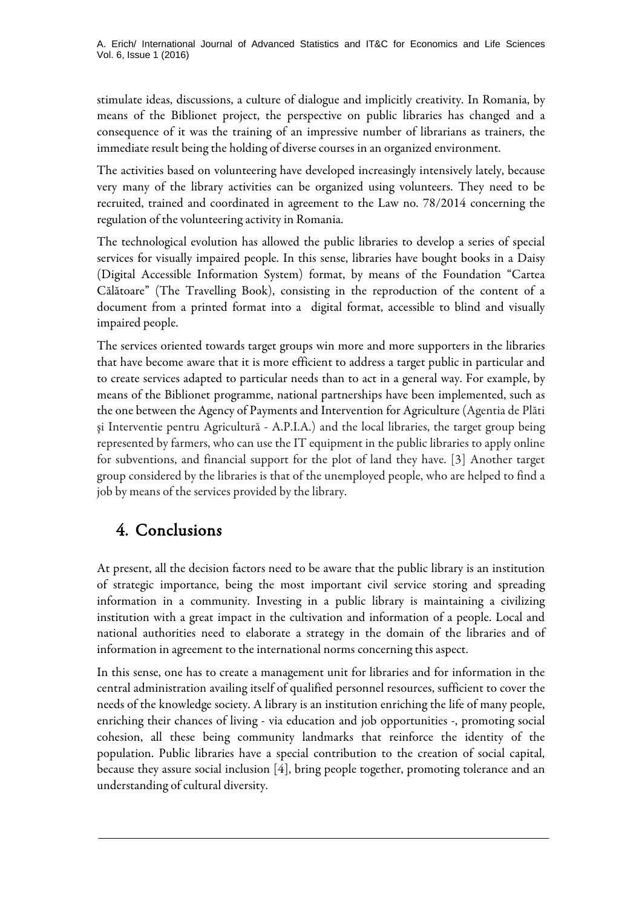stimulate ideas, discussions, a culture of dialogue and implicitly creativity. In Romania, by means of the Biblionet project, the perspective on public libraries has changed and a consequence of it was the training of an impressive number of librarians as trainers, the immediate result being the holding of diverse courses in an organized environment.

The activities based on volunteering have developed increasingly intensively lately, because very many of the library activities can be organized using volunteers. They need to be recruited, trained and coordinated in agreement to the Law no. 78/2014 concerning the regulation of the volunteering activity in Romania.

The technological evolution has allowed the public libraries to develop a series of special services for visually impaired people. In this sense, libraries have bought books in a Daisy (Digital Accessible Information System) format, by means of the Foundation "Cartea Călătoare" (The Travelling Book), consisting in the reproduction of the content of a document from a printed format into a digital format, accessible to blind and visually impaired people.

The services oriented towards target groups win more and more supporters in the libraries that have become aware that it is more efficient to address a target public in particular and to create services adapted to particular needs than to act in a general way. For example, by means of the Biblionet programme, national partnerships have been implemented, such as the one between the Agency of Payments and Intervention for Agriculture (Agentia de Plăti şi Interventie pentru Agricultură - A.P.I.A.) and the local libraries, the target group being represented by farmers, who can use the IT equipment in the public libraries to apply online for subventions, and financial support for the plot of land they have. [3] Another target group considered by the libraries is that of the unemployed people, who are helped to find a job by means of the services provided by the library.

## 4. Conclusions

At present, all the decision factors need to be aware that the public library is an institution of strategic importance, being the most important civil service storing and spreading information in a community. Investing in a public library is maintaining a civilizing institution with a great impact in the cultivation and information of a people. Local and national authorities need to elaborate a strategy in the domain of the libraries and of information in agreement to the international norms concerning this aspect.

In this sense, one has to create a management unit for libraries and for information in the central administration availing itself of qualified personnel resources, sufficient to cover the needs of the knowledge society. A library is an institution enriching the life of many people, enriching their chances of living - via education and job opportunities -, promoting social cohesion, all these being community landmarks that reinforce the identity of the population. Public libraries have a special contribution to the creation of social capital, because they assure social inclusion [4], bring people together, promoting tolerance and an understanding of cultural diversity.